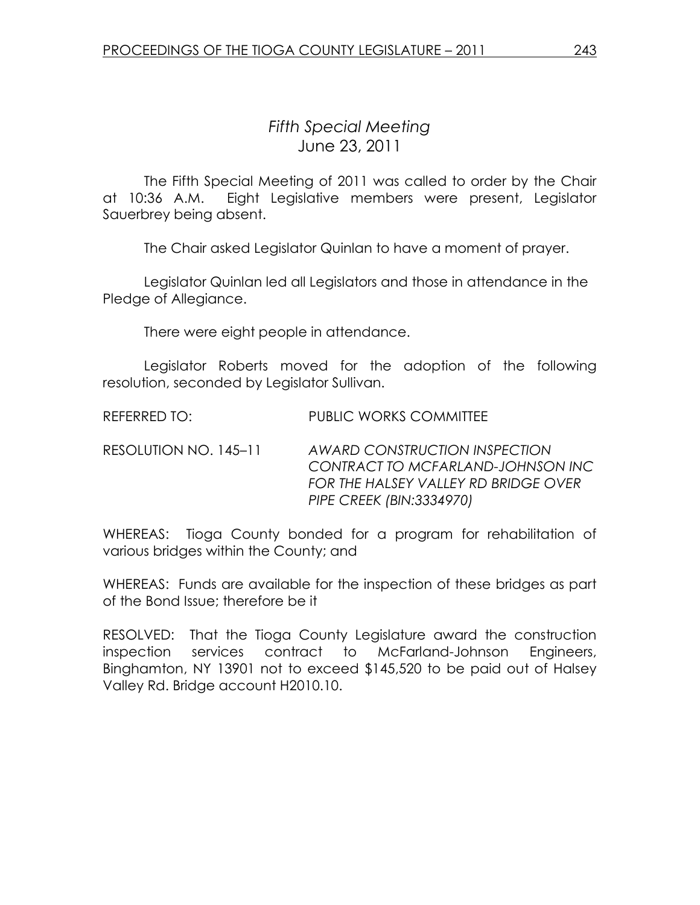## Fifth Special Meeting June 23, 2011

 The Fifth Special Meeting of 2011 was called to order by the Chair at 10:36 A.M. Eight Legislative members were present, Legislator Sauerbrey being absent.

The Chair asked Legislator Quinlan to have a moment of prayer.

 Legislator Quinlan led all Legislators and those in attendance in the Pledge of Allegiance.

There were eight people in attendance.

 Legislator Roberts moved for the adoption of the following resolution, seconded by Legislator Sullivan.

REFERRED TO: PUBLIC WORKS COMMITTEE

RESOLUTION NO. 145–11 AWARD CONSTRUCTION INSPECTION CONTRACT TO MCFARLAND-JOHNSON INC FOR THE HALSEY VALLEY RD BRIDGE OVER PIPE CREEK (BIN:3334970)

WHEREAS: Tioga County bonded for a program for rehabilitation of various bridges within the County; and

WHEREAS: Funds are available for the inspection of these bridges as part of the Bond Issue; therefore be it

RESOLVED: That the Tioga County Legislature award the construction inspection services contract to McFarland-Johnson Engineers, Binghamton, NY 13901 not to exceed \$145,520 to be paid out of Halsey Valley Rd. Bridge account H2010.10.